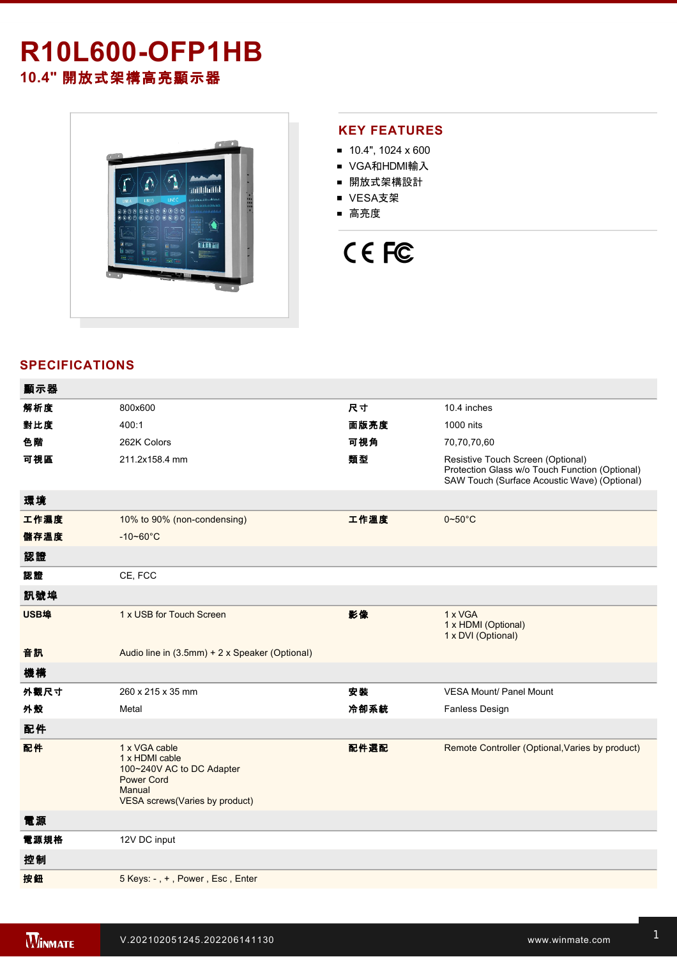# **R10L600-OFP1HB**

**10.4"** 開放式架構高亮顯示器



## **KEY FEATURES**

- $10.4$ ", 1024 x 600
- VGA和HDMI輸入
- 開放式架構設計
- VESA支架
- 高亮度

# CE FC

# **SPECIFICATIONS**

| 顯示器  |                                                                                                                               |      |                                                                                                                                     |
|------|-------------------------------------------------------------------------------------------------------------------------------|------|-------------------------------------------------------------------------------------------------------------------------------------|
| 解析度  | 800x600                                                                                                                       | 尺寸   | 10.4 inches                                                                                                                         |
| 對比度  | 400:1                                                                                                                         | 面版亮度 | 1000 nits                                                                                                                           |
| 色階   | 262K Colors                                                                                                                   | 可視角  | 70,70,70,60                                                                                                                         |
| 可視區  | 211.2x158.4 mm                                                                                                                | 類型   | Resistive Touch Screen (Optional)<br>Protection Glass w/o Touch Function (Optional)<br>SAW Touch (Surface Acoustic Wave) (Optional) |
| 環境   |                                                                                                                               |      |                                                                                                                                     |
| 工作濕度 | 10% to 90% (non-condensing)                                                                                                   | 工作溫度 | $0 - 50$ °C                                                                                                                         |
| 儲存溫度 | $-10 - 60^{\circ}$ C                                                                                                          |      |                                                                                                                                     |
| 認證   |                                                                                                                               |      |                                                                                                                                     |
| 認證   | CE, FCC                                                                                                                       |      |                                                                                                                                     |
| 訊號埠  |                                                                                                                               |      |                                                                                                                                     |
| USB埠 | 1 x USB for Touch Screen                                                                                                      | 影像   | 1 x VGA<br>1 x HDMI (Optional)<br>1 x DVI (Optional)                                                                                |
| 音訊   | Audio line in (3.5mm) + 2 x Speaker (Optional)                                                                                |      |                                                                                                                                     |
| 機構   |                                                                                                                               |      |                                                                                                                                     |
| 外觀尺寸 | 260 x 215 x 35 mm                                                                                                             | 安裝   | <b>VESA Mount/ Panel Mount</b>                                                                                                      |
| 外殼   | Metal                                                                                                                         | 冷卻系統 | <b>Fanless Design</b>                                                                                                               |
| 配件   |                                                                                                                               |      |                                                                                                                                     |
| 配件   | 1 x VGA cable<br>1 x HDMI cable<br>100~240V AC to DC Adapter<br><b>Power Cord</b><br>Manual<br>VESA screws(Varies by product) | 配件選配 | Remote Controller (Optional, Varies by product)                                                                                     |
| 電源   |                                                                                                                               |      |                                                                                                                                     |
| 電源規格 | 12V DC input                                                                                                                  |      |                                                                                                                                     |
| 控制   |                                                                                                                               |      |                                                                                                                                     |
| 按鈕   | 5 Keys: -, +, Power, Esc, Enter                                                                                               |      |                                                                                                                                     |
|      |                                                                                                                               |      |                                                                                                                                     |

**DIMENSIONS**  UNIT:MM